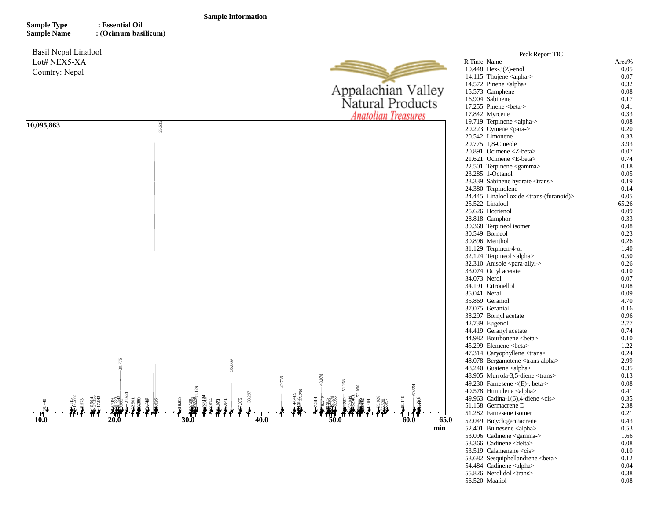## **Sample Information**

**Sample Type Sample Name : Essential Oil : (Ocimum basilicum)**

Basil Nepal Linalool Lot# NEX5-XA Country: Nepal



|              | Peak Report TIC                                             |              |
|--------------|-------------------------------------------------------------|--------------|
| R.Time Name  |                                                             | Area%        |
|              | 10.448 Hex-3(Z)-enol                                        | 0.05         |
|              | 14.115 Thujene <alpha-></alpha->                            | 0.07         |
|              | 14.572 Pinene <alpha></alpha>                               | 0.32         |
|              | 15.573 Camphene                                             | 0.08         |
|              | 16.904 Sabinene                                             | 0.17         |
|              | 17.255 Pinene <beta-></beta->                               | 0.41         |
|              | 17.842 Myrcene                                              | 0.33         |
|              | 19.719 Terpinene <alpha-></alpha->                          | 0.08         |
|              | 20.223 Cymene <para-></para->                               | 0.20         |
|              | 20.542 Limonene                                             | 0.33         |
|              | 20.775 1,8-Cineole                                          | 3.93         |
|              | 20.891 Ocimene <z-beta></z-beta>                            | 0.07         |
|              | 21.621 Ocimene <e-beta></e-beta>                            | 0.74         |
|              | 22.501 Terpinene <gamma></gamma>                            | 0.18         |
|              | 23.285 1-Octanol                                            | 0.05         |
|              | 23.339 Sabinene hydrate <trans></trans>                     | 0.19         |
|              | 24.380 Terpinolene                                          | 0.14         |
|              | 24.445 Linalool oxide <trans-(furanoid)></trans-(furanoid)> | 0.05         |
|              | 25.522 Linalool                                             | 65.26        |
|              | 25.626 Hotrienol                                            |              |
|              |                                                             | 0.09<br>0.33 |
|              | 28.818 Camphor                                              |              |
|              | 30.368 Terpineol isomer                                     | 0.08         |
|              | 30.549 Borneol                                              | 0.23         |
|              | 30.896 Menthol                                              | 0.26         |
|              | 31.129 Terpinen-4-ol                                        | 1.40         |
|              | 32.124 Terpineol <alpha></alpha>                            | 0.50         |
|              | 32.310 Anisole <para-allyl-></para-allyl->                  | 0.26         |
|              | 33.074 Octyl acetate                                        | 0.10         |
| 34.073 Nerol |                                                             | 0.07         |
|              | 34.191 Citronellol                                          | 0.08         |
| 35.041 Neral |                                                             | 0.09         |
|              | 35.869 Geraniol                                             | 4.70         |
|              | 37.075 Geranial                                             | 0.16         |
|              | 38.297 Bornyl acetate                                       | 0.96         |
|              | 42.739 Eugenol                                              | 2.77         |
|              | 44.419 Geranyl acetate                                      | 0.74         |
|              | 44.982 Bourbonene <beta></beta>                             | 0.10         |
|              | 45.299 Elemene <beta></beta>                                | 1.22         |
|              | 47.314 Caryophyllene <trans></trans>                        | 0.24         |
|              | 48.078 Bergamotene <trans-alpha></trans-alpha>              | 2.99         |
|              | 48.240 Guaiene <alpha></alpha>                              | 0.35         |
|              | 48.905 Murrola-3,5-diene <trans></trans>                    | 0.13         |
|              | 49.230 Farnesene $\langle$ (E)-, beta->                     | 0.08         |
|              | 49.578 Humulene <alpha></alpha>                             | 0.41         |
|              | 49.963 Cadina-1(6), 4-diene $\langle cis \rangle$           | 0.35         |
|              | 51.158 Germacrene D                                         | 2.38         |
|              | 51.282 Farnesene isomer                                     | 0.21         |
|              | 52.049 Bicyclogermacrene                                    | 0.43         |
|              | 52.401 Bulnesene <alpha></alpha>                            | 0.53         |
|              | 53.096 Cadinene <gamma-></gamma->                           | 1.66         |
|              | 53.366 Cadinene <delta></delta>                             | 0.08         |
|              | 53.519 Calamenene <cis></cis>                               | 0.10         |
|              | 53.682 Sesquiphellandrene<br>beta>                          | 0.12         |
|              | 54.484 Cadinene <alpha></alpha>                             | 0.04         |
|              | 55.826 Nerolidol <trans></trans>                            | 0.38         |
|              | 56.520 Maaliol                                              | 0.08         |
|              |                                                             |              |